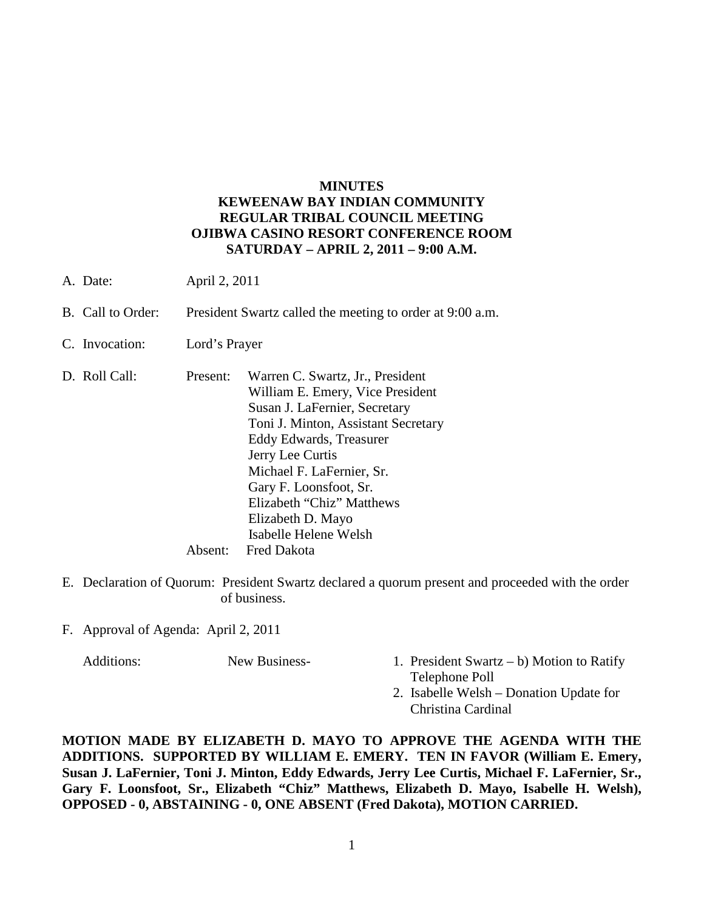## **MINUTES KEWEENAW BAY INDIAN COMMUNITY REGULAR TRIBAL COUNCIL MEETING OJIBWA CASINO RESORT CONFERENCE ROOM SATURDAY – APRIL 2, 2011 – 9:00 A.M.**

- A. Date: April 2, 2011
- B. Call to Order: President Swartz called the meeting to order at 9:00 a.m.
- C. Invocation: Lord's Prayer
- D. Roll Call: Present: Warren C. Swartz, Jr., President William E. Emery, Vice President Susan J. LaFernier, Secretary Toni J. Minton, Assistant Secretary Eddy Edwards, Treasurer Jerry Lee Curtis Michael F. LaFernier, Sr. Gary F. Loonsfoot, Sr. Elizabeth "Chiz" Matthews Elizabeth D. Mayo Isabelle Helene Welsh Absent: Fred Dakota
- E. Declaration of Quorum: President Swartz declared a quorum present and proceeded with the order of business.
- F. Approval of Agenda: April 2, 2011

- Additions: New Business- 1. President Swartz b) Motion to Ratify Telephone Poll
	- 2. Isabelle Welsh Donation Update for Christina Cardinal

**MOTION MADE BY ELIZABETH D. MAYO TO APPROVE THE AGENDA WITH THE ADDITIONS. SUPPORTED BY WILLIAM E. EMERY. TEN IN FAVOR (William E. Emery, Susan J. LaFernier, Toni J. Minton, Eddy Edwards, Jerry Lee Curtis, Michael F. LaFernier, Sr., Gary F. Loonsfoot, Sr., Elizabeth "Chiz" Matthews, Elizabeth D. Mayo, Isabelle H. Welsh), OPPOSED - 0, ABSTAINING - 0, ONE ABSENT (Fred Dakota), MOTION CARRIED.**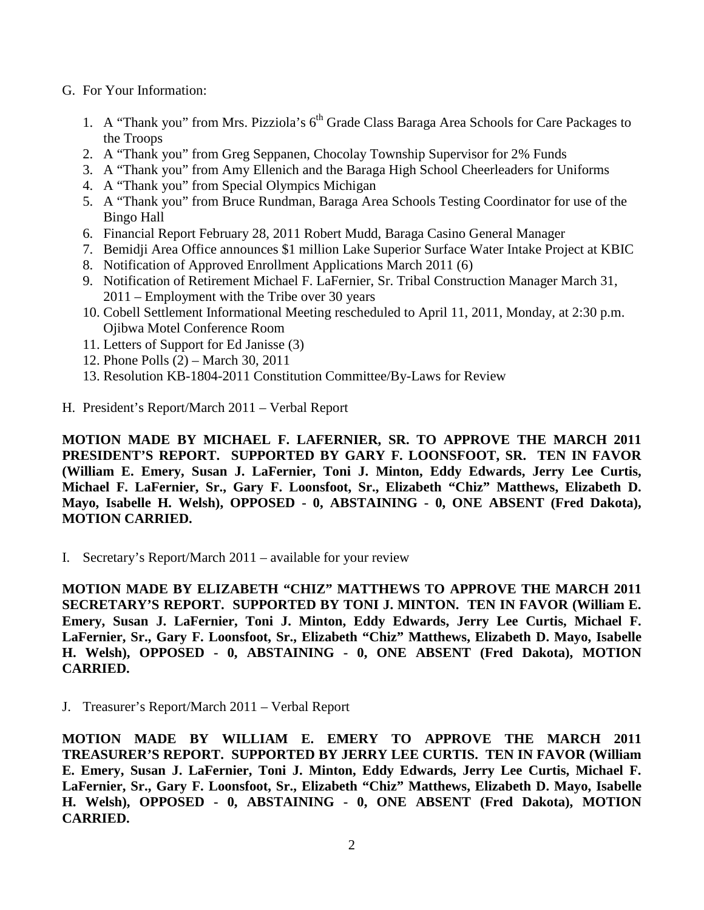- G. For Your Information:
	- 1. A "Thank you" from Mrs. Pizziola's 6<sup>th</sup> Grade Class Baraga Area Schools for Care Packages to the Troops
	- 2. A "Thank you" from Greg Seppanen, Chocolay Township Supervisor for 2% Funds
	- 3. A "Thank you" from Amy Ellenich and the Baraga High School Cheerleaders for Uniforms
	- 4. A "Thank you" from Special Olympics Michigan
	- 5. A "Thank you" from Bruce Rundman, Baraga Area Schools Testing Coordinator for use of the Bingo Hall
	- 6. Financial Report February 28, 2011 Robert Mudd, Baraga Casino General Manager
	- 7. Bemidji Area Office announces \$1 million Lake Superior Surface Water Intake Project at KBIC
	- 8. Notification of Approved Enrollment Applications March 2011 (6)
	- 9. Notification of Retirement Michael F. LaFernier, Sr. Tribal Construction Manager March 31, 2011 – Employment with the Tribe over 30 years
	- 10. Cobell Settlement Informational Meeting rescheduled to April 11, 2011, Monday, at 2:30 p.m. Ojibwa Motel Conference Room
	- 11. Letters of Support for Ed Janisse (3)
	- 12. Phone Polls (2) March 30, 2011
	- 13. Resolution KB-1804-2011 Constitution Committee/By-Laws for Review
- H. President's Report/March 2011 Verbal Report

**MOTION MADE BY MICHAEL F. LAFERNIER, SR. TO APPROVE THE MARCH 2011 PRESIDENT'S REPORT. SUPPORTED BY GARY F. LOONSFOOT, SR. TEN IN FAVOR (William E. Emery, Susan J. LaFernier, Toni J. Minton, Eddy Edwards, Jerry Lee Curtis, Michael F. LaFernier, Sr., Gary F. Loonsfoot, Sr., Elizabeth "Chiz" Matthews, Elizabeth D. Mayo, Isabelle H. Welsh), OPPOSED - 0, ABSTAINING - 0, ONE ABSENT (Fred Dakota), MOTION CARRIED.**

I. Secretary's Report/March 2011 – available for your review

**MOTION MADE BY ELIZABETH "CHIZ" MATTHEWS TO APPROVE THE MARCH 2011 SECRETARY'S REPORT. SUPPORTED BY TONI J. MINTON. TEN IN FAVOR (William E. Emery, Susan J. LaFernier, Toni J. Minton, Eddy Edwards, Jerry Lee Curtis, Michael F. LaFernier, Sr., Gary F. Loonsfoot, Sr., Elizabeth "Chiz" Matthews, Elizabeth D. Mayo, Isabelle H. Welsh), OPPOSED - 0, ABSTAINING - 0, ONE ABSENT (Fred Dakota), MOTION CARRIED.**

J. Treasurer's Report/March 2011 – Verbal Report

**MOTION MADE BY WILLIAM E. EMERY TO APPROVE THE MARCH 2011 TREASURER'S REPORT. SUPPORTED BY JERRY LEE CURTIS. TEN IN FAVOR (William E. Emery, Susan J. LaFernier, Toni J. Minton, Eddy Edwards, Jerry Lee Curtis, Michael F. LaFernier, Sr., Gary F. Loonsfoot, Sr., Elizabeth "Chiz" Matthews, Elizabeth D. Mayo, Isabelle H. Welsh), OPPOSED - 0, ABSTAINING - 0, ONE ABSENT (Fred Dakota), MOTION CARRIED.**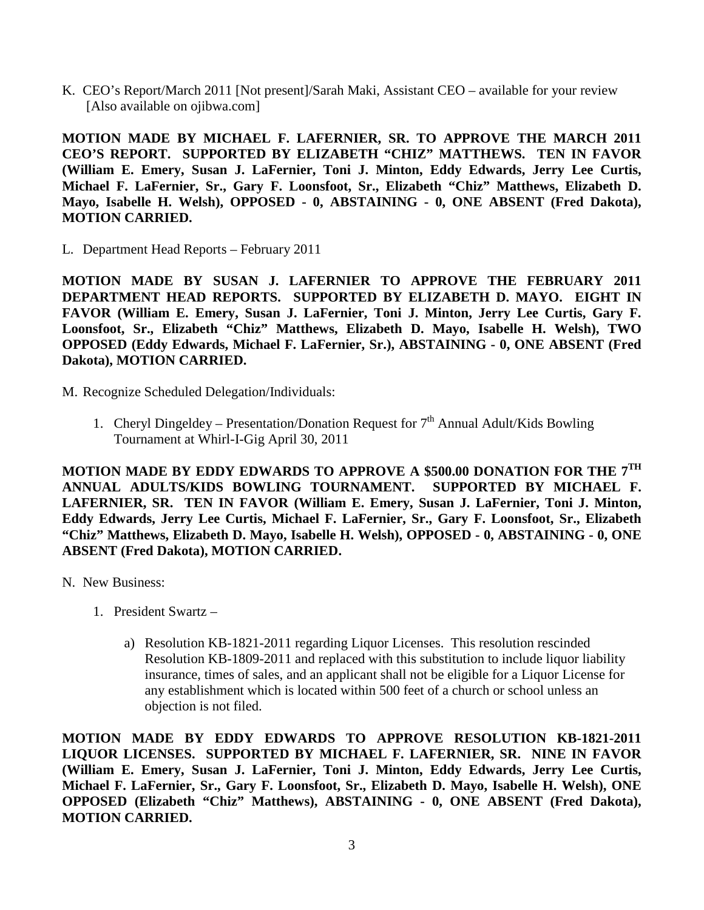K. CEO's Report/March 2011 [Not present]/Sarah Maki, Assistant CEO – available for your review [Also available on ojibwa.com]

**MOTION MADE BY MICHAEL F. LAFERNIER, SR. TO APPROVE THE MARCH 2011 CEO'S REPORT. SUPPORTED BY ELIZABETH "CHIZ" MATTHEWS. TEN IN FAVOR (William E. Emery, Susan J. LaFernier, Toni J. Minton, Eddy Edwards, Jerry Lee Curtis, Michael F. LaFernier, Sr., Gary F. Loonsfoot, Sr., Elizabeth "Chiz" Matthews, Elizabeth D. Mayo, Isabelle H. Welsh), OPPOSED - 0, ABSTAINING - 0, ONE ABSENT (Fred Dakota), MOTION CARRIED.**

L. Department Head Reports – February 2011

**MOTION MADE BY SUSAN J. LAFERNIER TO APPROVE THE FEBRUARY 2011 DEPARTMENT HEAD REPORTS. SUPPORTED BY ELIZABETH D. MAYO. EIGHT IN FAVOR (William E. Emery, Susan J. LaFernier, Toni J. Minton, Jerry Lee Curtis, Gary F. Loonsfoot, Sr., Elizabeth "Chiz" Matthews, Elizabeth D. Mayo, Isabelle H. Welsh), TWO OPPOSED (Eddy Edwards, Michael F. LaFernier, Sr.), ABSTAINING - 0, ONE ABSENT (Fred Dakota), MOTION CARRIED.**

- M. Recognize Scheduled Delegation/Individuals:
	- 1. Cheryl Dingeldey Presentation/Donation Request for  $7<sup>th</sup>$  Annual Adult/Kids Bowling Tournament at Whirl-I-Gig April 30, 2011

**MOTION MADE BY EDDY EDWARDS TO APPROVE A \$500.00 DONATION FOR THE 7TH ANNUAL ADULTS/KIDS BOWLING TOURNAMENT. SUPPORTED BY MICHAEL F. LAFERNIER, SR. TEN IN FAVOR (William E. Emery, Susan J. LaFernier, Toni J. Minton, Eddy Edwards, Jerry Lee Curtis, Michael F. LaFernier, Sr., Gary F. Loonsfoot, Sr., Elizabeth "Chiz" Matthews, Elizabeth D. Mayo, Isabelle H. Welsh), OPPOSED - 0, ABSTAINING - 0, ONE ABSENT (Fred Dakota), MOTION CARRIED.**

- N. New Business:
	- 1. President Swartz
		- a) Resolution KB-1821-2011 regarding Liquor Licenses. This resolution rescinded Resolution KB-1809-2011 and replaced with this substitution to include liquor liability insurance, times of sales, and an applicant shall not be eligible for a Liquor License for any establishment which is located within 500 feet of a church or school unless an objection is not filed.

**MOTION MADE BY EDDY EDWARDS TO APPROVE RESOLUTION KB-1821-2011 LIQUOR LICENSES. SUPPORTED BY MICHAEL F. LAFERNIER, SR. NINE IN FAVOR (William E. Emery, Susan J. LaFernier, Toni J. Minton, Eddy Edwards, Jerry Lee Curtis, Michael F. LaFernier, Sr., Gary F. Loonsfoot, Sr., Elizabeth D. Mayo, Isabelle H. Welsh), ONE OPPOSED (Elizabeth "Chiz" Matthews), ABSTAINING - 0, ONE ABSENT (Fred Dakota), MOTION CARRIED.**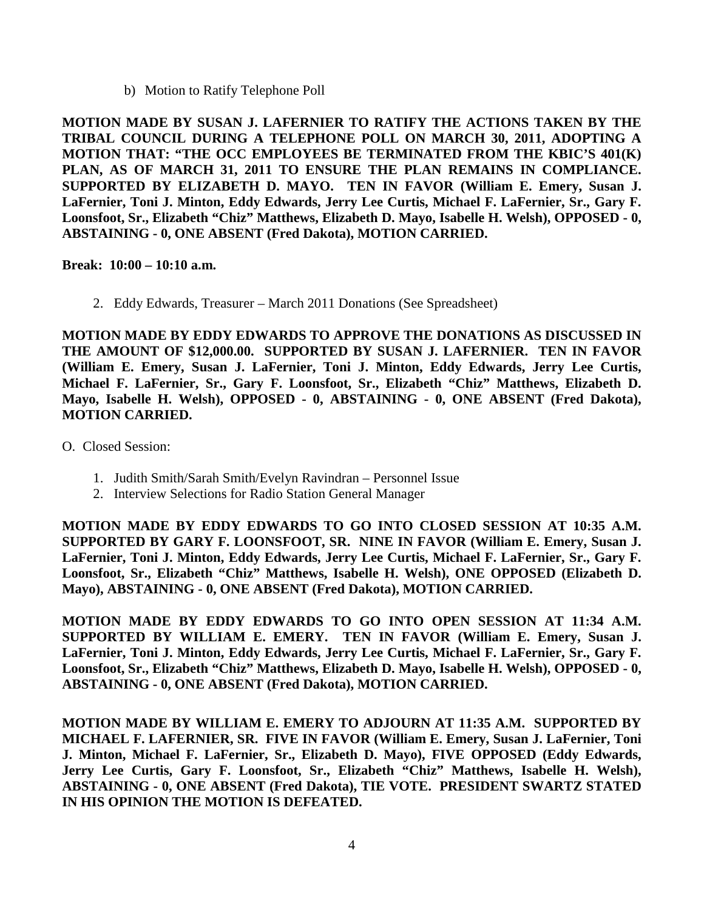b) Motion to Ratify Telephone Poll

**MOTION MADE BY SUSAN J. LAFERNIER TO RATIFY THE ACTIONS TAKEN BY THE TRIBAL COUNCIL DURING A TELEPHONE POLL ON MARCH 30, 2011, ADOPTING A MOTION THAT: "THE OCC EMPLOYEES BE TERMINATED FROM THE KBIC'S 401(K) PLAN, AS OF MARCH 31, 2011 TO ENSURE THE PLAN REMAINS IN COMPLIANCE. SUPPORTED BY ELIZABETH D. MAYO. TEN IN FAVOR (William E. Emery, Susan J. LaFernier, Toni J. Minton, Eddy Edwards, Jerry Lee Curtis, Michael F. LaFernier, Sr., Gary F. Loonsfoot, Sr., Elizabeth "Chiz" Matthews, Elizabeth D. Mayo, Isabelle H. Welsh), OPPOSED - 0, ABSTAINING - 0, ONE ABSENT (Fred Dakota), MOTION CARRIED.**

**Break: 10:00 – 10:10 a.m.** 

2. Eddy Edwards, Treasurer – March 2011 Donations (See Spreadsheet)

**MOTION MADE BY EDDY EDWARDS TO APPROVE THE DONATIONS AS DISCUSSED IN THE AMOUNT OF \$12,000.00. SUPPORTED BY SUSAN J. LAFERNIER. TEN IN FAVOR (William E. Emery, Susan J. LaFernier, Toni J. Minton, Eddy Edwards, Jerry Lee Curtis, Michael F. LaFernier, Sr., Gary F. Loonsfoot, Sr., Elizabeth "Chiz" Matthews, Elizabeth D. Mayo, Isabelle H. Welsh), OPPOSED - 0, ABSTAINING - 0, ONE ABSENT (Fred Dakota), MOTION CARRIED.**

O. Closed Session:

- 1. Judith Smith/Sarah Smith/Evelyn Ravindran Personnel Issue
- 2. Interview Selections for Radio Station General Manager

**MOTION MADE BY EDDY EDWARDS TO GO INTO CLOSED SESSION AT 10:35 A.M. SUPPORTED BY GARY F. LOONSFOOT, SR. NINE IN FAVOR (William E. Emery, Susan J. LaFernier, Toni J. Minton, Eddy Edwards, Jerry Lee Curtis, Michael F. LaFernier, Sr., Gary F. Loonsfoot, Sr., Elizabeth "Chiz" Matthews, Isabelle H. Welsh), ONE OPPOSED (Elizabeth D. Mayo), ABSTAINING - 0, ONE ABSENT (Fred Dakota), MOTION CARRIED.**

**MOTION MADE BY EDDY EDWARDS TO GO INTO OPEN SESSION AT 11:34 A.M. SUPPORTED BY WILLIAM E. EMERY. TEN IN FAVOR (William E. Emery, Susan J. LaFernier, Toni J. Minton, Eddy Edwards, Jerry Lee Curtis, Michael F. LaFernier, Sr., Gary F. Loonsfoot, Sr., Elizabeth "Chiz" Matthews, Elizabeth D. Mayo, Isabelle H. Welsh), OPPOSED - 0, ABSTAINING - 0, ONE ABSENT (Fred Dakota), MOTION CARRIED.**

**MOTION MADE BY WILLIAM E. EMERY TO ADJOURN AT 11:35 A.M. SUPPORTED BY MICHAEL F. LAFERNIER, SR. FIVE IN FAVOR (William E. Emery, Susan J. LaFernier, Toni J. Minton, Michael F. LaFernier, Sr., Elizabeth D. Mayo), FIVE OPPOSED (Eddy Edwards, Jerry Lee Curtis, Gary F. Loonsfoot, Sr., Elizabeth "Chiz" Matthews, Isabelle H. Welsh), ABSTAINING - 0, ONE ABSENT (Fred Dakota), TIE VOTE. PRESIDENT SWARTZ STATED IN HIS OPINION THE MOTION IS DEFEATED.**